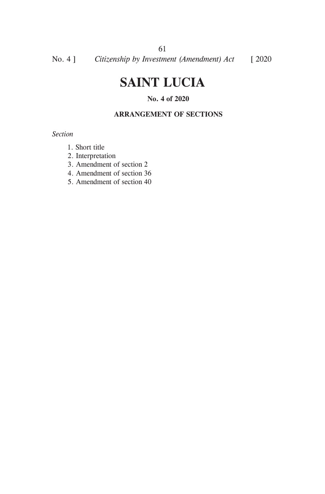# **SAINT LUCIA**

### **No. 4 of 2020**

#### **ARRANGEMENT OF SECTIONS**

*Section*

- 1. Short title
- 2. Interpretation
- 3. Amendment of section 2
- 4. Amendment of section 36
- 5. Amendment of section 40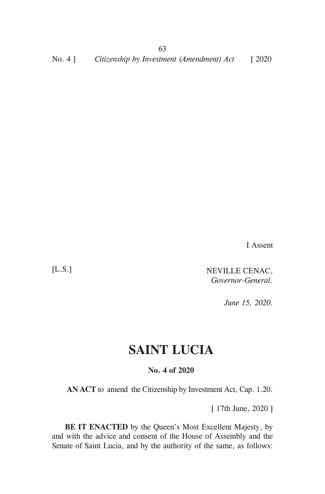No. 4 ] *Citizenship by Investment (Amendment) Act* [ 2020

I Assent

[L.S.]

NEVILLE CENAC, *Governor-General.*

*June 15, 2020.*

## **SAINT LUCIA**

#### **No. 4 of 2020**

**AN ACT** to amend the Citizenship by Investment Act, Cap. 1.20.

[ 17th June, 2020 ]

**BE IT ENACTED** by the Queen's Most Excellent Majesty, by and with the advice and consent of the House of Assembly and the Senate of Saint Lucia, and by the authority of the same, as follows: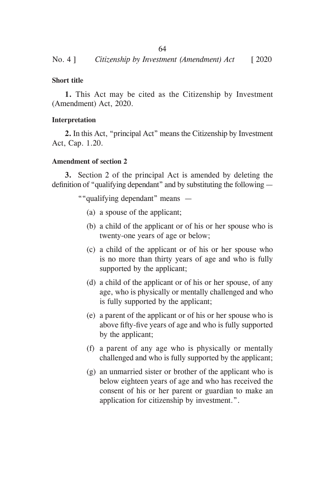#### **Short title**

**1.** This Act may be cited as the Citizenship by Investment (Amendment) Act, 2020.

#### **Interpretation**

**2.** In this Act, "principal Act" means the Citizenship by Investment Act, Cap. 1.20.

#### **Amendment of section 2**

**3.** Section 2 of the principal Act is amended by deleting the definition of "qualifying dependant" and by substituting the following —

""qualifying dependant" means —

- (a) a spouse of the applicant;
- (b) a child of the applicant or of his or her spouse who is twenty-one years of age or below;
- (c) a child of the applicant or of his or her spouse who is no more than thirty years of age and who is fully supported by the applicant;
- (d) a child of the applicant or of his or her spouse, of any age, who is physically or mentally challenged and who is fully supported by the applicant;
- (e) a parent of the applicant or of his or her spouse who is above fifty-five years of age and who is fully supported by the applicant;
- (f) a parent of any age who is physically or mentally challenged and who is fully supported by the applicant;
- (g) an unmarried sister or brother of the applicant who is below eighteen years of age and who has received the consent of his or her parent or guardian to make an application for citizenship by investment.".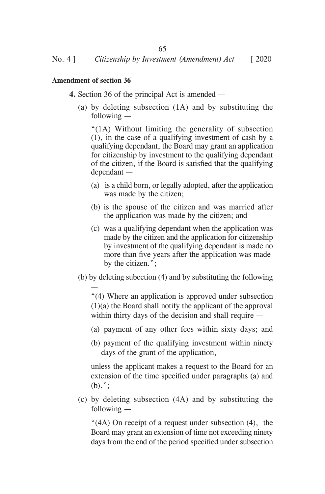#### **Amendment of section 36**

—

- **4.** Section 36 of the principal Act is amended
	- (a) by deleting subsection (1A) and by substituting the following —

 "(1A) Without limiting the generality of subsection (1), in the case of a qualifying investment of cash by a qualifying dependant, the Board may grant an application for citizenship by investment to the qualifying dependant of the citizen, if the Board is satisfied that the qualifying dependant —

- (a) is a child born, or legally adopted, after the application was made by the citizen;
- (b) is the spouse of the citizen and was married after the application was made by the citizen; and
- (c) was a qualifying dependant when the application was made by the citizen and the application for citizenship by investment of the qualifying dependant is made no more than five years after the application was made by the citizen.";
- (b) by deleting subection (4) and by substituting the following

 "(4) Where an application is approved under subsection (1)(a) the Board shall notify the applicant of the approval within thirty days of the decision and shall require —

- (a) payment of any other fees within sixty days; and
- (b) payment of the qualifying investment within ninety days of the grant of the application,

unless the applicant makes a request to the Board for an extension of the time specified under paragraphs (a) and  $(b)$ .";

(c) by deleting subsection (4A) and by substituting the following —

"(4A) On receipt of a request under subsection (4), the Board may grant an extension of time not exceeding ninety days from the end of the period specified under subsection